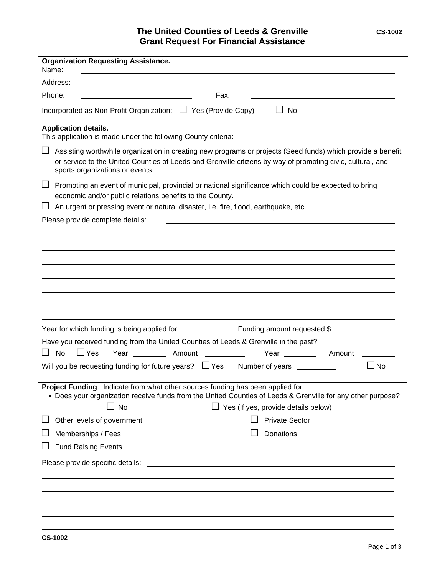## **The United Counties of Leeds & Grenville** CS-1002 **Grant Request For Financial Assistance**

| <b>Organization Requesting Assistance.</b><br>Name:                                                                                                                                                                                                          |
|--------------------------------------------------------------------------------------------------------------------------------------------------------------------------------------------------------------------------------------------------------------|
| Address:                                                                                                                                                                                                                                                     |
| Phone:<br>Fax:                                                                                                                                                                                                                                               |
| Incorporated as Non-Profit Organization: □ Yes (Provide Copy)<br>No.                                                                                                                                                                                         |
| <b>Application details.</b><br>This application is made under the following County criteria:                                                                                                                                                                 |
| Assisting worthwhile organization in creating new programs or projects (Seed funds) which provide a benefit<br>or service to the United Counties of Leeds and Grenville citizens by way of promoting civic, cultural, and<br>sports organizations or events. |
| Promoting an event of municipal, provincial or national significance which could be expected to bring<br>economic and/or public relations benefits to the County.<br>An urgent or pressing event or natural disaster, i.e. fire, flood, earthquake, etc.     |
| Please provide complete details:                                                                                                                                                                                                                             |
|                                                                                                                                                                                                                                                              |
|                                                                                                                                                                                                                                                              |
|                                                                                                                                                                                                                                                              |
|                                                                                                                                                                                                                                                              |
|                                                                                                                                                                                                                                                              |
|                                                                                                                                                                                                                                                              |
|                                                                                                                                                                                                                                                              |
| Year for which funding is being applied for:<br><b>Eunding amount requested \$</b>                                                                                                                                                                           |
| Have you received funding from the United Counties of Leeds & Grenville in the past?                                                                                                                                                                         |
| $\Box$ Yes<br><b>No</b><br>Year ___________ Amount<br>Year <u>______________</u><br>Amount                                                                                                                                                                   |
| Will you be requesting funding for future years? $\Box$ Yes<br>Number of years ___________<br>⊿ No                                                                                                                                                           |
|                                                                                                                                                                                                                                                              |
| Project Funding. Indicate from what other sources funding has been applied for.<br>• Does your organization receive funds from the United Counties of Leeds & Grenville for any other purpose?                                                               |
| $\Box$ No<br>$\Box$ Yes (If yes, provide details below)                                                                                                                                                                                                      |
| <b>Private Sector</b><br>Other levels of government                                                                                                                                                                                                          |
| Donations<br>Memberships / Fees                                                                                                                                                                                                                              |
| <b>Fund Raising Events</b>                                                                                                                                                                                                                                   |
| Please provide specific details:                                                                                                                                                                                                                             |
|                                                                                                                                                                                                                                                              |
|                                                                                                                                                                                                                                                              |
|                                                                                                                                                                                                                                                              |
|                                                                                                                                                                                                                                                              |
|                                                                                                                                                                                                                                                              |

l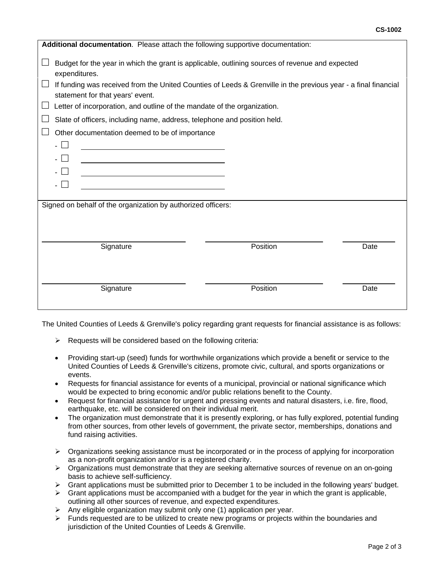| Additional documentation. Please attach the following supportive documentation:                                                                                    |          |      |
|--------------------------------------------------------------------------------------------------------------------------------------------------------------------|----------|------|
| Budget for the year in which the grant is applicable, outlining sources of revenue and expected<br>expenditures.                                                   |          |      |
| If funding was received from the United Counties of Leeds & Grenville in the previous year - a final financial<br>$\mathbf{L}$<br>statement for that years' event. |          |      |
| Letter of incorporation, and outline of the mandate of the organization.                                                                                           |          |      |
| Slate of officers, including name, address, telephone and position held.                                                                                           |          |      |
| Other documentation deemed to be of importance                                                                                                                     |          |      |
|                                                                                                                                                                    |          |      |
|                                                                                                                                                                    |          |      |
|                                                                                                                                                                    |          |      |
|                                                                                                                                                                    |          |      |
|                                                                                                                                                                    |          |      |
| Signed on behalf of the organization by authorized officers:                                                                                                       |          |      |
|                                                                                                                                                                    |          |      |
|                                                                                                                                                                    |          |      |
| Signature                                                                                                                                                          | Position | Date |
|                                                                                                                                                                    |          |      |
|                                                                                                                                                                    |          |      |
| Signature                                                                                                                                                          | Position | Date |
|                                                                                                                                                                    |          |      |
|                                                                                                                                                                    |          |      |

The United Counties of Leeds & Grenville's policy regarding grant requests for financial assistance is as follows:

- $\triangleright$  Requests will be considered based on the following criteria:
- Providing start-up (seed) funds for worthwhile organizations which provide a benefit or service to the United Counties of Leeds & Grenville's citizens, promote civic, cultural, and sports organizations or events.
- Requests for financial assistance for events of a municipal, provincial or national significance which would be expected to bring economic and/or public relations benefit to the County.
- Request for financial assistance for urgent and pressing events and natural disasters, i.e. fire, flood, earthquake, etc. will be considered on their individual merit.
- The organization must demonstrate that it is presently exploring, or has fully explored, potential funding from other sources, from other levels of government, the private sector, memberships, donations and fund raising activities.
- $\triangleright$  Organizations seeking assistance must be incorporated or in the process of applying for incorporation as a non-profit organization and/or is a registered charity.
- $\triangleright$  Organizations must demonstrate that they are seeking alternative sources of revenue on an on-going basis to achieve self-sufficiency.
- $\triangleright$  Grant applications must be submitted prior to December 1 to be included in the following years' budget.
- $\triangleright$  Grant applications must be accompanied with a budget for the year in which the grant is applicable, outlining all other sources of revenue, and expected expenditures.
- $\triangleright$  Any eligible organization may submit only one (1) application per year.
- $\triangleright$  Funds requested are to be utilized to create new programs or projects within the boundaries and jurisdiction of the United Counties of Leeds & Grenville.